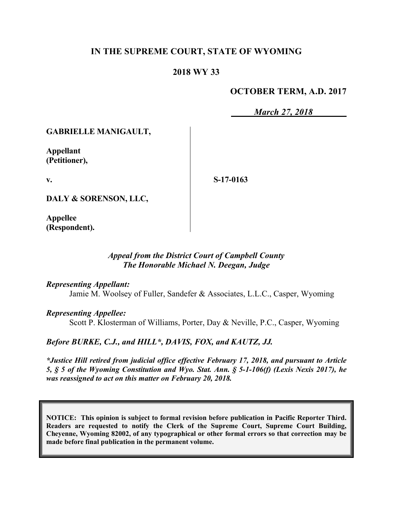# **IN THE SUPREME COURT, STATE OF WYOMING**

## **2018 WY 33**

## **OCTOBER TERM, A.D. 2017**

*March 27, 2018*

**GABRIELLE MANIGAULT,**

**Appellant (Petitioner),**

**v.**

**S-17-0163**

**DALY & SORENSON, LLC,**

**Appellee (Respondent).**

#### *Appeal from the District Court of Campbell County The Honorable Michael N. Deegan, Judge*

*Representing Appellant:*

Jamie M. Woolsey of Fuller, Sandefer & Associates, L.L.C., Casper, Wyoming

*Representing Appellee:*

Scott P. Klosterman of Williams, Porter, Day & Neville, P.C., Casper, Wyoming

*Before BURKE, C.J., and HILL\*, DAVIS, FOX, and KAUTZ, JJ.*

*\*Justice Hill retired from judicial office effective February 17, 2018, and pursuant to Article 5, § 5 of the Wyoming Constitution and Wyo. Stat. Ann. § 5-1-106(f) (Lexis Nexis 2017), he was reassigned to act on this matter on February 20, 2018.*

**NOTICE: This opinion is subject to formal revision before publication in Pacific Reporter Third. Readers are requested to notify the Clerk of the Supreme Court, Supreme Court Building, Cheyenne, Wyoming 82002, of any typographical or other formal errors so that correction may be made before final publication in the permanent volume.**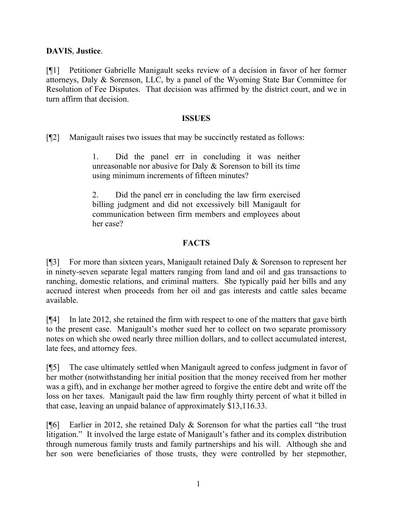## **DAVIS**, **Justice**.

[¶1] Petitioner Gabrielle Manigault seeks review of a decision in favor of her former attorneys, Daly & Sorenson, LLC, by a panel of the Wyoming State Bar Committee for Resolution of Fee Disputes. That decision was affirmed by the district court, and we in turn affirm that decision.

#### **ISSUES**

[¶2] Manigault raises two issues that may be succinctly restated as follows:

1. Did the panel err in concluding it was neither unreasonable nor abusive for Daly & Sorenson to bill its time using minimum increments of fifteen minutes?

2. Did the panel err in concluding the law firm exercised billing judgment and did not excessively bill Manigault for communication between firm members and employees about her case?

# **FACTS**

[¶3] For more than sixteen years, Manigault retained Daly & Sorenson to represent her in ninety-seven separate legal matters ranging from land and oil and gas transactions to ranching, domestic relations, and criminal matters. She typically paid her bills and any accrued interest when proceeds from her oil and gas interests and cattle sales became available.

[¶4] In late 2012, she retained the firm with respect to one of the matters that gave birth to the present case. Manigault's mother sued her to collect on two separate promissory notes on which she owed nearly three million dollars, and to collect accumulated interest, late fees, and attorney fees.

[¶5] The case ultimately settled when Manigault agreed to confess judgment in favor of her mother (notwithstanding her initial position that the money received from her mother was a gift), and in exchange her mother agreed to forgive the entire debt and write off the loss on her taxes. Manigault paid the law firm roughly thirty percent of what it billed in that case, leaving an unpaid balance of approximately \$13,116.33.

[ $[$ [6] Earlier in 2012, she retained Daly & Sorenson for what the parties call "the trust" litigation." It involved the large estate of Manigault's father and its complex distribution through numerous family trusts and family partnerships and his will. Although she and her son were beneficiaries of those trusts, they were controlled by her stepmother,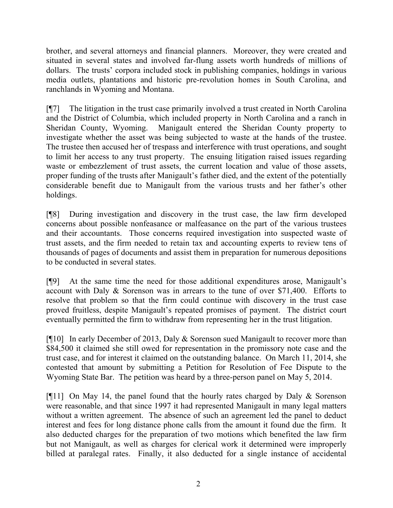brother, and several attorneys and financial planners. Moreover, they were created and situated in several states and involved far-flung assets worth hundreds of millions of dollars. The trusts' corpora included stock in publishing companies, holdings in various media outlets, plantations and historic pre-revolution homes in South Carolina, and ranchlands in Wyoming and Montana.

[¶7] The litigation in the trust case primarily involved a trust created in North Carolina and the District of Columbia, which included property in North Carolina and a ranch in Sheridan County, Wyoming. Manigault entered the Sheridan County property to investigate whether the asset was being subjected to waste at the hands of the trustee. The trustee then accused her of trespass and interference with trust operations, and sought to limit her access to any trust property. The ensuing litigation raised issues regarding waste or embezzlement of trust assets, the current location and value of those assets, proper funding of the trusts after Manigault's father died, and the extent of the potentially considerable benefit due to Manigault from the various trusts and her father's other holdings.

[¶8] During investigation and discovery in the trust case, the law firm developed concerns about possible nonfeasance or malfeasance on the part of the various trustees and their accountants. Those concerns required investigation into suspected waste of trust assets, and the firm needed to retain tax and accounting experts to review tens of thousands of pages of documents and assist them in preparation for numerous depositions to be conducted in several states.

[¶9] At the same time the need for those additional expenditures arose, Manigault's account with Daly & Sorenson was in arrears to the tune of over \$71,400. Efforts to resolve that problem so that the firm could continue with discovery in the trust case proved fruitless, despite Manigault's repeated promises of payment. The district court eventually permitted the firm to withdraw from representing her in the trust litigation.

[¶10] In early December of 2013, Daly & Sorenson sued Manigault to recover more than \$84,500 it claimed she still owed for representation in the promissory note case and the trust case, and for interest it claimed on the outstanding balance. On March 11, 2014, she contested that amount by submitting a Petition for Resolution of Fee Dispute to the Wyoming State Bar. The petition was heard by a three-person panel on May 5, 2014.

[ $[11]$  On May 14, the panel found that the hourly rates charged by Daly & Sorenson were reasonable, and that since 1997 it had represented Manigault in many legal matters without a written agreement. The absence of such an agreement led the panel to deduct interest and fees for long distance phone calls from the amount it found due the firm. It also deducted charges for the preparation of two motions which benefited the law firm but not Manigault, as well as charges for clerical work it determined were improperly billed at paralegal rates. Finally, it also deducted for a single instance of accidental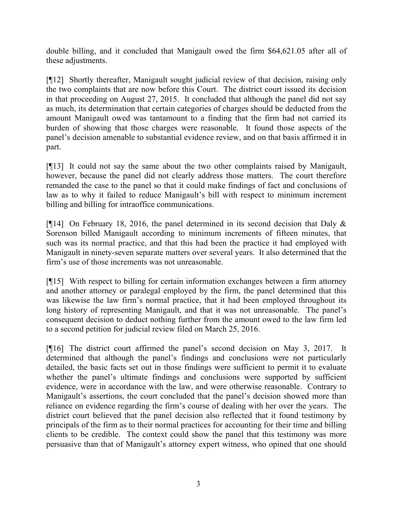double billing, and it concluded that Manigault owed the firm \$64,621.05 after all of these adjustments.

[¶12] Shortly thereafter, Manigault sought judicial review of that decision, raising only the two complaints that are now before this Court. The district court issued its decision in that proceeding on August 27, 2015. It concluded that although the panel did not say as much, its determination that certain categories of charges should be deducted from the amount Manigault owed was tantamount to a finding that the firm had not carried its burden of showing that those charges were reasonable. It found those aspects of the panel's decision amenable to substantial evidence review, and on that basis affirmed it in part.

[¶13] It could not say the same about the two other complaints raised by Manigault, however, because the panel did not clearly address those matters. The court therefore remanded the case to the panel so that it could make findings of fact and conclusions of law as to why it failed to reduce Manigault's bill with respect to minimum increment billing and billing for intraoffice communications.

[ $[14]$  On February 18, 2016, the panel determined in its second decision that Daly & Sorenson billed Manigault according to minimum increments of fifteen minutes, that such was its normal practice, and that this had been the practice it had employed with Manigault in ninety-seven separate matters over several years. It also determined that the firm's use of those increments was not unreasonable.

[¶15] With respect to billing for certain information exchanges between a firm attorney and another attorney or paralegal employed by the firm, the panel determined that this was likewise the law firm's normal practice, that it had been employed throughout its long history of representing Manigault, and that it was not unreasonable. The panel's consequent decision to deduct nothing further from the amount owed to the law firm led to a second petition for judicial review filed on March 25, 2016.

[¶16] The district court affirmed the panel's second decision on May 3, 2017. It determined that although the panel's findings and conclusions were not particularly detailed, the basic facts set out in those findings were sufficient to permit it to evaluate whether the panel's ultimate findings and conclusions were supported by sufficient evidence, were in accordance with the law, and were otherwise reasonable. Contrary to Manigault's assertions, the court concluded that the panel's decision showed more than reliance on evidence regarding the firm's course of dealing with her over the years. The district court believed that the panel decision also reflected that it found testimony by principals of the firm as to their normal practices for accounting for their time and billing clients to be credible. The context could show the panel that this testimony was more persuasive than that of Manigault's attorney expert witness, who opined that one should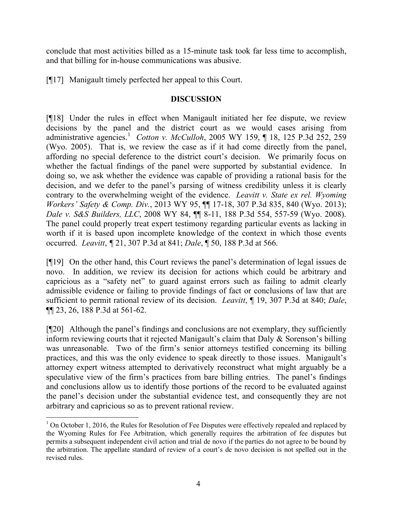conclude that most activities billed as a 15-minute task took far less time to accomplish, and that billing for in-house communications was abusive.

[¶17] Manigault timely perfected her appeal to this Court.

## **DISCUSSION**

[¶18] Under the rules in effect when Manigault initiated her fee dispute, we review decisions by the panel and the district court as we would cases arising from administrative agencies.<sup>1</sup> *Cotton v. McCulloh*, 2005 WY 159, ¶ 18, 125 P.3d 252, 259 (Wyo. 2005). That is, we review the case as if it had come directly from the panel, affording no special deference to the district court's decision. We primarily focus on whether the factual findings of the panel were supported by substantial evidence. In doing so, we ask whether the evidence was capable of providing a rational basis for the decision, and we defer to the panel's parsing of witness credibility unless it is clearly contrary to the overwhelming weight of the evidence. *Leavitt v. State ex rel. Wyoming Workers' Safety & Comp. Div.*, 2013 WY 95, ¶¶ 17-18, 307 P.3d 835, 840 (Wyo. 2013); *Dale v. S&S Builders, LLC*, 2008 WY 84, ¶¶ 8-11, 188 P.3d 554, 557-59 (Wyo. 2008). The panel could properly treat expert testimony regarding particular events as lacking in worth if it is based upon incomplete knowledge of the context in which those events occurred. *Leavitt*, *¶* 21, 307 P.3d at 841; *Dale*, ¶ 50, 188 P.3d at 566.

[¶19] On the other hand, this Court reviews the panel's determination of legal issues de novo. In addition, we review its decision for actions which could be arbitrary and capricious as a "safety net" to guard against errors such as failing to admit clearly admissible evidence or failing to provide findings of fact or conclusions of law that are sufficient to permit rational review of its decision. *Leavitt*, ¶ 19, 307 P.3d at 840; *Dale*, ¶¶ 23, 26, 188 P.3d at 561-62.

[¶20] Although the panel's findings and conclusions are not exemplary, they sufficiently inform reviewing courts that it rejected Manigault's claim that Daly & Sorenson's billing was unreasonable. Two of the firm's senior attorneys testified concerning its billing practices, and this was the only evidence to speak directly to those issues. Manigault's attorney expert witness attempted to derivatively reconstruct what might arguably be a speculative view of the firm's practices from bare billing entries. The panel's findings and conclusions allow us to identify those portions of the record to be evaluated against the panel's decision under the substantial evidence test, and consequently they are not arbitrary and capricious so as to prevent rational review.

 $\overline{a}$ 

 $1$  On October 1, 2016, the Rules for Resolution of Fee Disputes were effectively repealed and replaced by the Wyoming Rules for Fee Arbitration, which generally requires the arbitration of fee disputes but permits a subsequent independent civil action and trial de novo if the parties do not agree to be bound by the arbitration. The appellate standard of review of a court's de novo decision is not spelled out in the revised rules.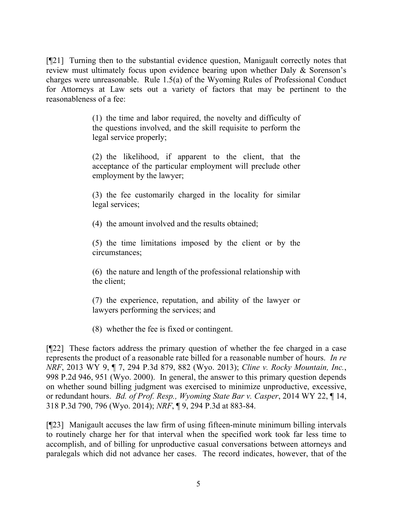[¶21] Turning then to the substantial evidence question, Manigault correctly notes that review must ultimately focus upon evidence bearing upon whether Daly & Sorenson's charges were unreasonable. Rule 1.5(a) of the Wyoming Rules of Professional Conduct for Attorneys at Law sets out a variety of factors that may be pertinent to the reasonableness of a fee:

> (1) the time and labor required, the novelty and difficulty of the questions involved, and the skill requisite to perform the legal service properly;

> (2) the likelihood, if apparent to the client, that the acceptance of the particular employment will preclude other employment by the lawyer;

> (3) the fee customarily charged in the locality for similar legal services;

(4) the amount involved and the results obtained;

(5) the time limitations imposed by the client or by the circumstances;

(6) the nature and length of the professional relationship with the client;

(7) the experience, reputation, and ability of the lawyer or lawyers performing the services; and

(8) whether the fee is fixed or contingent.

[¶22] These factors address the primary question of whether the fee charged in a case represents the product of a reasonable rate billed for a reasonable number of hours. *In re NRF*, 2013 WY 9, ¶ 7, 294 P.3d 879, 882 (Wyo. 2013); *Cline v. Rocky Mountain, Inc.*, 998 P.2d 946, 951 (Wyo. 2000). In general, the answer to this primary question depends on whether sound billing judgment was exercised to minimize unproductive, excessive, or redundant hours. *Bd. of Prof. Resp., Wyoming State Bar v. Casper*, 2014 WY 22, ¶ 14, 318 P.3d 790, 796 (Wyo. 2014); *NRF*, ¶ 9, 294 P.3d at 883-84.

[¶23] Manigault accuses the law firm of using fifteen-minute minimum billing intervals to routinely charge her for that interval when the specified work took far less time to accomplish, and of billing for unproductive casual conversations between attorneys and paralegals which did not advance her cases. The record indicates, however, that of the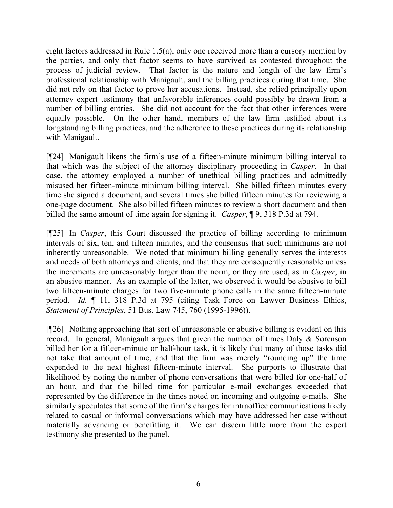eight factors addressed in Rule 1.5(a), only one received more than a cursory mention by the parties, and only that factor seems to have survived as contested throughout the process of judicial review. That factor is the nature and length of the law firm's professional relationship with Manigault, and the billing practices during that time. She did not rely on that factor to prove her accusations. Instead, she relied principally upon attorney expert testimony that unfavorable inferences could possibly be drawn from a number of billing entries. She did not account for the fact that other inferences were equally possible. On the other hand, members of the law firm testified about its longstanding billing practices, and the adherence to these practices during its relationship with Manigault.

[¶24] Manigault likens the firm's use of a fifteen-minute minimum billing interval to that which was the subject of the attorney disciplinary proceeding in *Casper*. In that case, the attorney employed a number of unethical billing practices and admittedly misused her fifteen-minute minimum billing interval. She billed fifteen minutes every time she signed a document, and several times she billed fifteen minutes for reviewing a one-page document. She also billed fifteen minutes to review a short document and then billed the same amount of time again for signing it. *Casper*, ¶ 9, 318 P.3d at 794.

[¶25] In *Casper*, this Court discussed the practice of billing according to minimum intervals of six, ten, and fifteen minutes, and the consensus that such minimums are not inherently unreasonable. We noted that minimum billing generally serves the interests and needs of both attorneys and clients, and that they are consequently reasonable unless the increments are unreasonably larger than the norm, or they are used, as in *Casper*, in an abusive manner. As an example of the latter, we observed it would be abusive to bill two fifteen-minute charges for two five-minute phone calls in the same fifteen-minute period. *Id.* ¶ 11, 318 P.3d at 795 (citing Task Force on Lawyer Business Ethics, *Statement of Principles*, 51 Bus. Law 745, 760 (1995-1996)).

[¶26] Nothing approaching that sort of unreasonable or abusive billing is evident on this record. In general, Manigault argues that given the number of times Daly & Sorenson billed her for a fifteen-minute or half-hour task, it is likely that many of those tasks did not take that amount of time, and that the firm was merely "rounding up" the time expended to the next highest fifteen-minute interval. She purports to illustrate that likelihood by noting the number of phone conversations that were billed for one-half of an hour, and that the billed time for particular e-mail exchanges exceeded that represented by the difference in the times noted on incoming and outgoing e-mails. She similarly speculates that some of the firm's charges for intraoffice communications likely related to casual or informal conversations which may have addressed her case without materially advancing or benefitting it. We can discern little more from the expert testimony she presented to the panel.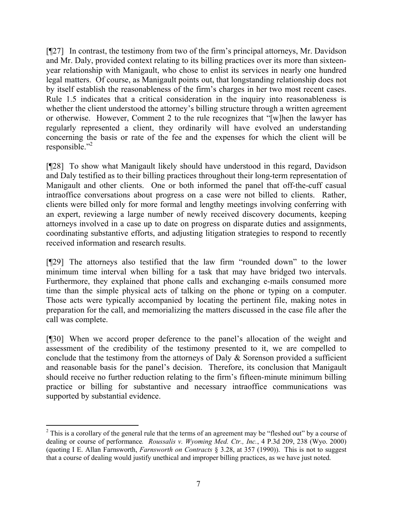[¶27] In contrast, the testimony from two of the firm's principal attorneys, Mr. Davidson and Mr. Daly, provided context relating to its billing practices over its more than sixteenyear relationship with Manigault, who chose to enlist its services in nearly one hundred legal matters. Of course, as Manigault points out, that longstanding relationship does not by itself establish the reasonableness of the firm's charges in her two most recent cases. Rule 1.5 indicates that a critical consideration in the inquiry into reasonableness is whether the client understood the attorney's billing structure through a written agreement or otherwise. However, Comment 2 to the rule recognizes that "[w]hen the lawyer has regularly represented a client, they ordinarily will have evolved an understanding concerning the basis or rate of the fee and the expenses for which the client will be responsible."<sup>2</sup>

[¶28] To show what Manigault likely should have understood in this regard, Davidson and Daly testified as to their billing practices throughout their long-term representation of Manigault and other clients. One or both informed the panel that off-the-cuff casual intraoffice conversations about progress on a case were not billed to clients. Rather, clients were billed only for more formal and lengthy meetings involving conferring with an expert, reviewing a large number of newly received discovery documents, keeping attorneys involved in a case up to date on progress on disparate duties and assignments, coordinating substantive efforts, and adjusting litigation strategies to respond to recently received information and research results.

[¶29] The attorneys also testified that the law firm "rounded down" to the lower minimum time interval when billing for a task that may have bridged two intervals. Furthermore, they explained that phone calls and exchanging e-mails consumed more time than the simple physical acts of talking on the phone or typing on a computer. Those acts were typically accompanied by locating the pertinent file, making notes in preparation for the call, and memorializing the matters discussed in the case file after the call was complete.

[¶30] When we accord proper deference to the panel's allocation of the weight and assessment of the credibility of the testimony presented to it, we are compelled to conclude that the testimony from the attorneys of Daly & Sorenson provided a sufficient and reasonable basis for the panel's decision. Therefore, its conclusion that Manigault should receive no further reduction relating to the firm's fifteen-minute minimum billing practice or billing for substantive and necessary intraoffice communications was supported by substantial evidence.

l

 $2$  This is a corollary of the general rule that the terms of an agreement may be "fleshed out" by a course of dealing or course of performance*. Roussalis v. Wyoming Med. Ctr., Inc.*, 4 P.3d 209, 238 (Wyo. 2000) (quoting I E. Allan Farnsworth, *Farnsworth on Contracts* § 3.28, at 357 (1990)). This is not to suggest that a course of dealing would justify unethical and improper billing practices, as we have just noted.